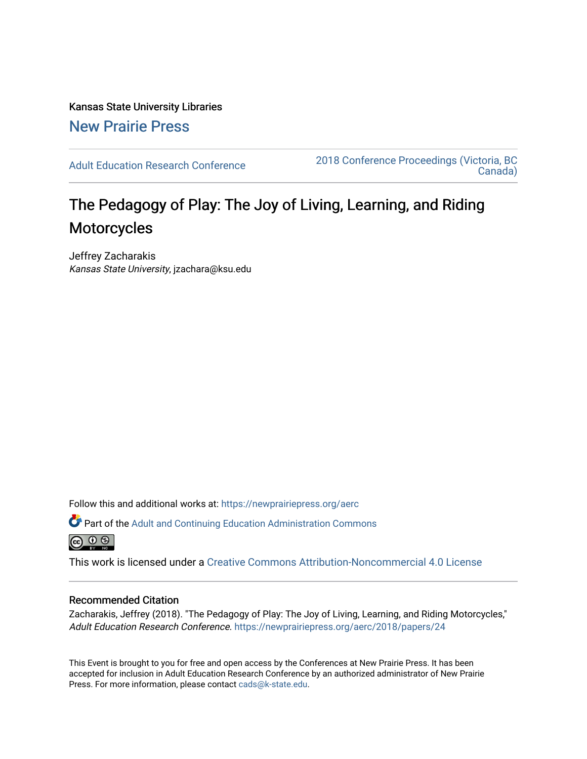Kansas State University Libraries [New Prairie Press](https://newprairiepress.org/) 

[Adult Education Research Conference](https://newprairiepress.org/aerc) [2018 Conference Proceedings \(Victoria, BC](https://newprairiepress.org/aerc/2018)  [Canada\)](https://newprairiepress.org/aerc/2018) 

## The Pedagogy of Play: The Joy of Living, Learning, and Riding Motorcycles

Jeffrey Zacharakis Kansas State University, jzachara@ksu.edu

Follow this and additional works at: [https://newprairiepress.org/aerc](https://newprairiepress.org/aerc?utm_source=newprairiepress.org%2Faerc%2F2018%2Fpapers%2F24&utm_medium=PDF&utm_campaign=PDFCoverPages)

Part of the [Adult and Continuing Education Administration Commons](http://network.bepress.com/hgg/discipline/789?utm_source=newprairiepress.org%2Faerc%2F2018%2Fpapers%2F24&utm_medium=PDF&utm_campaign=PDFCoverPages) <u>ெ ெ ⊜</u>

This work is licensed under a [Creative Commons Attribution-Noncommercial 4.0 License](https://creativecommons.org/licenses/by-nc/4.0/)

## Recommended Citation

Zacharakis, Jeffrey (2018). "The Pedagogy of Play: The Joy of Living, Learning, and Riding Motorcycles," Adult Education Research Conference. <https://newprairiepress.org/aerc/2018/papers/24>

This Event is brought to you for free and open access by the Conferences at New Prairie Press. It has been accepted for inclusion in Adult Education Research Conference by an authorized administrator of New Prairie Press. For more information, please contact [cads@k-state.edu.](mailto:cads@k-state.edu)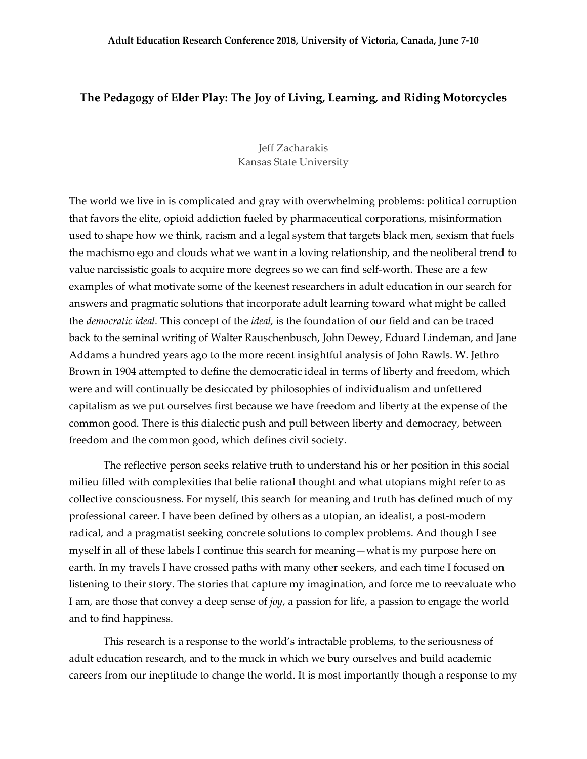## **The Pedagogy of Elder Play: The Joy of Living, Learning, and Riding Motorcycles**

## Jeff Zacharakis Kansas State University

The world we live in is complicated and gray with overwhelming problems: political corruption that favors the elite, opioid addiction fueled by pharmaceutical corporations, misinformation used to shape how we think, racism and a legal system that targets black men, sexism that fuels the machismo ego and clouds what we want in a loving relationship, and the neoliberal trend to value narcissistic goals to acquire more degrees so we can find self-worth. These are a few examples of what motivate some of the keenest researchers in adult education in our search for answers and pragmatic solutions that incorporate adult learning toward what might be called the *democratic ideal.* This concept of the *ideal,* is the foundation of our field and can be traced back to the seminal writing of Walter Rauschenbusch, John Dewey, Eduard Lindeman, and Jane Addams a hundred years ago to the more recent insightful analysis of John Rawls. W. Jethro Brown in 1904 attempted to define the democratic ideal in terms of liberty and freedom, which were and will continually be desiccated by philosophies of individualism and unfettered capitalism as we put ourselves first because we have freedom and liberty at the expense of the common good. There is this dialectic push and pull between liberty and democracy, between freedom and the common good, which defines civil society.

The reflective person seeks relative truth to understand his or her position in this social milieu filled with complexities that belie rational thought and what utopians might refer to as collective consciousness. For myself, this search for meaning and truth has defined much of my professional career. I have been defined by others as a utopian, an idealist, a post-modern radical, and a pragmatist seeking concrete solutions to complex problems. And though I see myself in all of these labels I continue this search for meaning—what is my purpose here on earth. In my travels I have crossed paths with many other seekers, and each time I focused on listening to their story. The stories that capture my imagination, and force me to reevaluate who I am, are those that convey a deep sense of *joy*, a passion for life, a passion to engage the world and to find happiness.

This research is a response to the world's intractable problems, to the seriousness of adult education research, and to the muck in which we bury ourselves and build academic careers from our ineptitude to change the world. It is most importantly though a response to my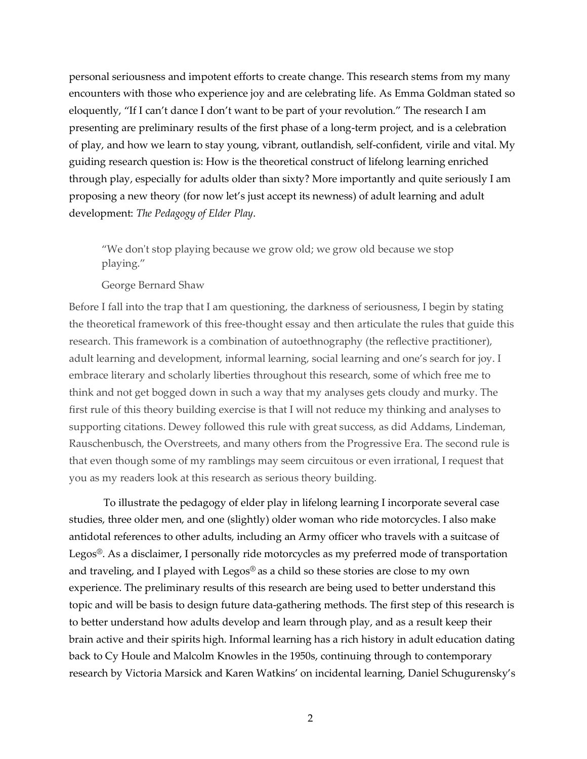personal seriousness and impotent efforts to create change. This research stems from my many encounters with those who experience joy and are celebrating life. As Emma Goldman stated so eloquently, "If I can't dance I don't want to be part of your revolution." The research I am presenting are preliminary results of the first phase of a long-term project, and is a celebration of play, and how we learn to stay young, vibrant, outlandish, self-confident, virile and vital. My guiding research question is: How is the theoretical construct of lifelong learning enriched through play, especially for adults older than sixty? More importantly and quite seriously I am proposing a new theory (for now let's just accept its newness) of adult learning and adult development: *The Pedagogy of Elder Play*.

"We don't stop playing because we grow old; we grow old because we stop playing."

George Bernard Shaw

Before I fall into the trap that I am questioning, the darkness of seriousness, I begin by stating the theoretical framework of this free-thought essay and then articulate the rules that guide this research. This framework is a combination of autoethnography (the reflective practitioner), adult learning and development, informal learning, social learning and one's search for joy. I embrace literary and scholarly liberties throughout this research, some of which free me to think and not get bogged down in such a way that my analyses gets cloudy and murky. The first rule of this theory building exercise is that I will not reduce my thinking and analyses to supporting citations. Dewey followed this rule with great success, as did Addams, Lindeman, Rauschenbusch, the Overstreets, and many others from the Progressive Era. The second rule is that even though some of my ramblings may seem circuitous or even irrational, I request that you as my readers look at this research as serious theory building.

To illustrate the pedagogy of elder play in lifelong learning I incorporate several case studies, three older men, and one (slightly) older woman who ride motorcycles. I also make antidotal references to other adults, including an Army officer who travels with a suitcase of Legos®. As a disclaimer, I personally ride motorcycles as my preferred mode of transportation and traveling, and I played with Legos® as a child so these stories are close to my own experience. The preliminary results of this research are being used to better understand this topic and will be basis to design future data-gathering methods. The first step of this research is to better understand how adults develop and learn through play, and as a result keep their brain active and their spirits high. Informal learning has a rich history in adult education dating back to Cy Houle and Malcolm Knowles in the 1950s, continuing through to contemporary research by Victoria Marsick and Karen Watkins' on incidental learning, Daniel Schugurensky's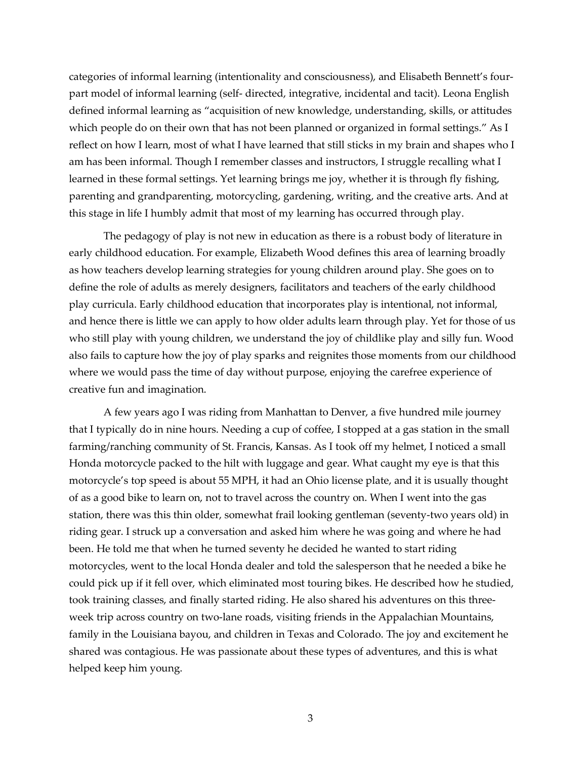categories of informal learning (intentionality and consciousness), and Elisabeth Bennett's fourpart model of informal learning (self- directed, integrative, incidental and tacit). Leona English defined informal learning as "acquisition of new knowledge, understanding, skills, or attitudes which people do on their own that has not been planned or organized in formal settings." As I reflect on how I learn, most of what I have learned that still sticks in my brain and shapes who I am has been informal. Though I remember classes and instructors, I struggle recalling what I learned in these formal settings. Yet learning brings me joy, whether it is through fly fishing, parenting and grandparenting, motorcycling, gardening, writing, and the creative arts. And at this stage in life I humbly admit that most of my learning has occurred through play.

The pedagogy of play is not new in education as there is a robust body of literature in early childhood education. For example, Elizabeth Wood defines this area of learning broadly as how teachers develop learning strategies for young children around play. She goes on to define the role of adults as merely designers, facilitators and teachers of the early childhood play curricula. Early childhood education that incorporates play is intentional, not informal, and hence there is little we can apply to how older adults learn through play. Yet for those of us who still play with young children, we understand the joy of childlike play and silly fun. Wood also fails to capture how the joy of play sparks and reignites those moments from our childhood where we would pass the time of day without purpose, enjoying the carefree experience of creative fun and imagination.

A few years ago I was riding from Manhattan to Denver, a five hundred mile journey that I typically do in nine hours. Needing a cup of coffee, I stopped at a gas station in the small farming/ranching community of St. Francis, Kansas. As I took off my helmet, I noticed a small Honda motorcycle packed to the hilt with luggage and gear. What caught my eye is that this motorcycle's top speed is about 55 MPH, it had an Ohio license plate, and it is usually thought of as a good bike to learn on, not to travel across the country on. When I went into the gas station, there was this thin older, somewhat frail looking gentleman (seventy-two years old) in riding gear. I struck up a conversation and asked him where he was going and where he had been. He told me that when he turned seventy he decided he wanted to start riding motorcycles, went to the local Honda dealer and told the salesperson that he needed a bike he could pick up if it fell over, which eliminated most touring bikes. He described how he studied, took training classes, and finally started riding. He also shared his adventures on this threeweek trip across country on two-lane roads, visiting friends in the Appalachian Mountains, family in the Louisiana bayou, and children in Texas and Colorado. The joy and excitement he shared was contagious. He was passionate about these types of adventures, and this is what helped keep him young.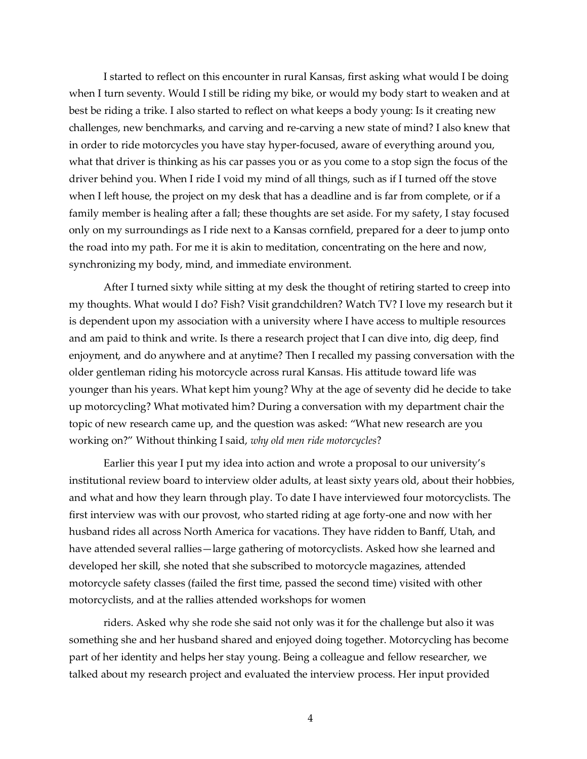I started to reflect on this encounter in rural Kansas, first asking what would I be doing when I turn seventy. Would I still be riding my bike, or would my body start to weaken and at best be riding a trike. I also started to reflect on what keeps a body young: Is it creating new challenges, new benchmarks, and carving and re-carving a new state of mind? I also knew that in order to ride motorcycles you have stay hyper-focused, aware of everything around you, what that driver is thinking as his car passes you or as you come to a stop sign the focus of the driver behind you. When I ride I void my mind of all things, such as if I turned off the stove when I left house, the project on my desk that has a deadline and is far from complete, or if a family member is healing after a fall; these thoughts are set aside. For my safety, I stay focused only on my surroundings as I ride next to a Kansas cornfield, prepared for a deer to jump onto the road into my path. For me it is akin to meditation, concentrating on the here and now, synchronizing my body, mind, and immediate environment.

After I turned sixty while sitting at my desk the thought of retiring started to creep into my thoughts. What would I do? Fish? Visit grandchildren? Watch TV? I love my research but it is dependent upon my association with a university where I have access to multiple resources and am paid to think and write. Is there a research project that I can dive into, dig deep, find enjoyment, and do anywhere and at anytime? Then I recalled my passing conversation with the older gentleman riding his motorcycle across rural Kansas. His attitude toward life was younger than his years. What kept him young? Why at the age of seventy did he decide to take up motorcycling? What motivated him? During a conversation with my department chair the topic of new research came up, and the question was asked: "What new research are you working on?" Without thinking I said, *why old men ride motorcycles*?

Earlier this year I put my idea into action and wrote a proposal to our university's institutional review board to interview older adults, at least sixty years old, about their hobbies, and what and how they learn through play. To date I have interviewed four motorcyclists. The first interview was with our provost, who started riding at age forty-one and now with her husband rides all across North America for vacations. They have ridden to Banff, Utah, and have attended several rallies—large gathering of motorcyclists. Asked how she learned and developed her skill, she noted that she subscribed to motorcycle magazines, attended motorcycle safety classes (failed the first time, passed the second time) visited with other motorcyclists, and at the rallies attended workshops for women

riders. Asked why she rode she said not only was it for the challenge but also it was something she and her husband shared and enjoyed doing together. Motorcycling has become part of her identity and helps her stay young. Being a colleague and fellow researcher, we talked about my research project and evaluated the interview process. Her input provided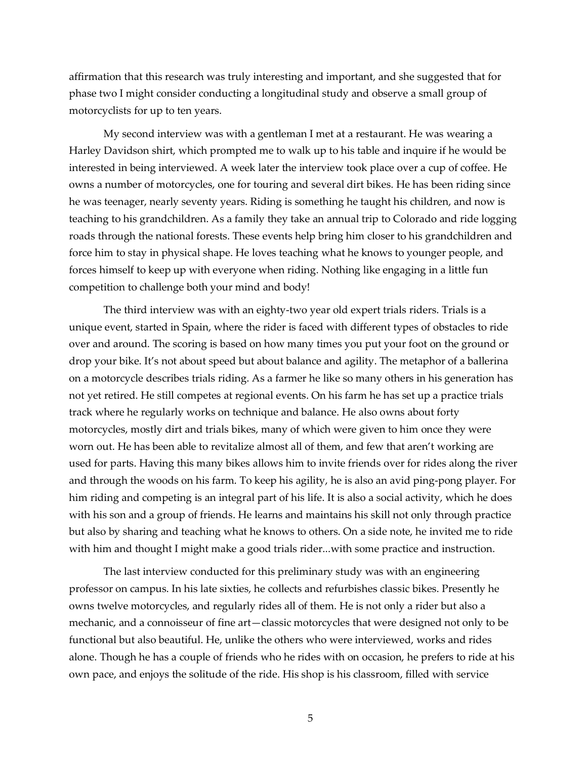affirmation that this research was truly interesting and important, and she suggested that for phase two I might consider conducting a longitudinal study and observe a small group of motorcyclists for up to ten years.

My second interview was with a gentleman I met at a restaurant. He was wearing a Harley Davidson shirt, which prompted me to walk up to his table and inquire if he would be interested in being interviewed. A week later the interview took place over a cup of coffee. He owns a number of motorcycles, one for touring and several dirt bikes. He has been riding since he was teenager, nearly seventy years. Riding is something he taught his children, and now is teaching to his grandchildren. As a family they take an annual trip to Colorado and ride logging roads through the national forests. These events help bring him closer to his grandchildren and force him to stay in physical shape. He loves teaching what he knows to younger people, and forces himself to keep up with everyone when riding. Nothing like engaging in a little fun competition to challenge both your mind and body!

The third interview was with an eighty-two year old expert trials riders. Trials is a unique event, started in Spain, where the rider is faced with different types of obstacles to ride over and around. The scoring is based on how many times you put your foot on the ground or drop your bike. It's not about speed but about balance and agility. The metaphor of a ballerina on a motorcycle describes trials riding. As a farmer he like so many others in his generation has not yet retired. He still competes at regional events. On his farm he has set up a practice trials track where he regularly works on technique and balance. He also owns about forty motorcycles, mostly dirt and trials bikes, many of which were given to him once they were worn out. He has been able to revitalize almost all of them, and few that aren't working are used for parts. Having this many bikes allows him to invite friends over for rides along the river and through the woods on his farm. To keep his agility, he is also an avid ping-pong player. For him riding and competing is an integral part of his life. It is also a social activity, which he does with his son and a group of friends. He learns and maintains his skill not only through practice but also by sharing and teaching what he knows to others. On a side note, he invited me to ride with him and thought I might make a good trials rider...with some practice and instruction.

The last interview conducted for this preliminary study was with an engineering professor on campus. In his late sixties, he collects and refurbishes classic bikes. Presently he owns twelve motorcycles, and regularly rides all of them. He is not only a rider but also a mechanic, and a connoisseur of fine art—classic motorcycles that were designed not only to be functional but also beautiful. He, unlike the others who were interviewed, works and rides alone. Though he has a couple of friends who he rides with on occasion, he prefers to ride at his own pace, and enjoys the solitude of the ride. His shop is his classroom, filled with service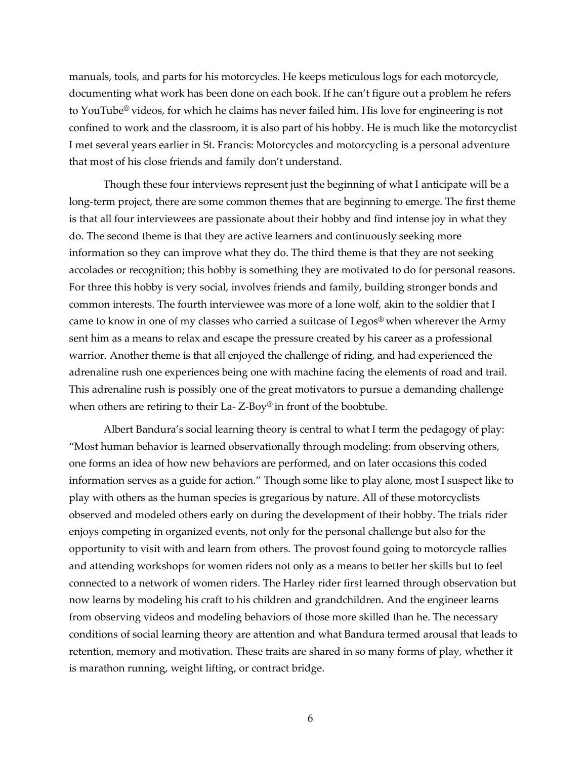manuals, tools, and parts for his motorcycles. He keeps meticulous logs for each motorcycle, documenting what work has been done on each book. If he can't figure out a problem he refers to YouTube<sup>®</sup> videos, for which he claims has never failed him. His love for engineering is not confined to work and the classroom, it is also part of his hobby. He is much like the motorcyclist I met several years earlier in St. Francis: Motorcycles and motorcycling is a personal adventure that most of his close friends and family don't understand.

Though these four interviews represent just the beginning of what I anticipate will be a long-term project, there are some common themes that are beginning to emerge. The first theme is that all four interviewees are passionate about their hobby and find intense joy in what they do. The second theme is that they are active learners and continuously seeking more information so they can improve what they do. The third theme is that they are not seeking accolades or recognition; this hobby is something they are motivated to do for personal reasons. For three this hobby is very social, involves friends and family, building stronger bonds and common interests. The fourth interviewee was more of a lone wolf, akin to the soldier that I came to know in one of my classes who carried a suitcase of Legos® when wherever the Army sent him as a means to relax and escape the pressure created by his career as a professional warrior. Another theme is that all enjoyed the challenge of riding, and had experienced the adrenaline rush one experiences being one with machine facing the elements of road and trail. This adrenaline rush is possibly one of the great motivators to pursue a demanding challenge when others are retiring to their La-Z-Boy® in front of the boobtube.

Albert Bandura's social learning theory is central to what I term the pedagogy of play: "Most human behavior is learned observationally through modeling: from observing others, one forms an idea of how new behaviors are performed, and on later occasions this coded information serves as a guide for action." Though some like to play alone, most I suspect like to play with others as the human species is gregarious by nature. All of these motorcyclists observed and modeled others early on during the development of their hobby. The trials rider enjoys competing in organized events, not only for the personal challenge but also for the opportunity to visit with and learn from others. The provost found going to motorcycle rallies and attending workshops for women riders not only as a means to better her skills but to feel connected to a network of women riders. The Harley rider first learned through observation but now learns by modeling his craft to his children and grandchildren. And the engineer learns from observing videos and modeling behaviors of those more skilled than he. The necessary conditions of social learning theory are attention and what Bandura termed arousal that leads to retention, memory and motivation. These traits are shared in so many forms of play, whether it is marathon running, weight lifting, or contract bridge.